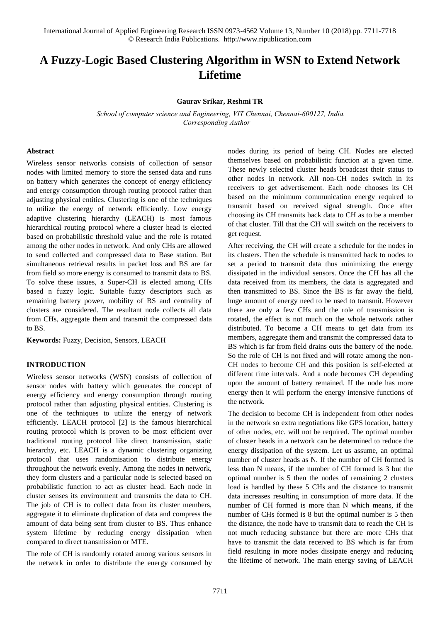# **A Fuzzy-Logic Based Clustering Algorithm in WSN to Extend Network Lifetime**

#### **Gaurav Srikar, Reshmi TR**

 *School of computer science and Engineering, VIT Chennai, Chennai-600127, India. Corresponding Author*

#### **Abstract**

Wireless sensor networks consists of collection of sensor nodes with limited memory to store the sensed data and runs on battery which generates the concept of energy efficiency and energy consumption through routing protocol rather than adjusting physical entities. Clustering is one of the techniques to utilize the energy of network efficiently. Low energy adaptive clustering hierarchy (LEACH) is most famous hierarchical routing protocol where a cluster head is elected based on probabilistic threshold value and the role is rotated among the other nodes in network. And only CHs are allowed to send collected and compressed data to Base station. But simultaneous retrieval results in packet loss and BS are far from field so more energy is consumed to transmit data to BS. To solve these issues, a Super-CH is elected among CHs based n fuzzy logic. Suitable fuzzy descriptors such as remaining battery power, mobility of BS and centrality of clusters are considered. The resultant node collects all data from CHs, aggregate them and transmit the compressed data to BS.

**Keywords:** Fuzzy, Decision, Sensors, LEACH

## **INTRODUCTION**

Wireless sensor networks (WSN) consists of collection of sensor nodes with battery which generates the concept of energy efficiency and energy consumption through routing protocol rather than adjusting physical entities. Clustering is one of the techniques to utilize the energy of network efficiently. LEACH protocol [2] is the famous hierarchical routing protocol which is proven to be most efficient over traditional routing protocol like direct transmission, static hierarchy, etc. LEACH is a dynamic clustering organizing protocol that uses randomisation to distribute energy throughout the network evenly. Among the nodes in network, they form clusters and a particular node is selected based on probabilistic function to act as cluster head. Each node in cluster senses its environment and transmits the data to CH. The job of CH is to collect data from its cluster members, aggregate it to eliminate duplication of data and compress the amount of data being sent from cluster to BS. Thus enhance system lifetime by reducing energy dissipation when compared to direct transmission or MTE.

The role of CH is randomly rotated among various sensors in the network in order to distribute the energy consumed by nodes during its period of being CH. Nodes are elected themselves based on probabilistic function at a given time. These newly selected cluster heads broadcast their status to other nodes in network. All non-CH nodes switch in its receivers to get advertisement. Each node chooses its CH based on the minimum communication energy required to transmit based on received signal strength. Once after choosing its CH transmits back data to CH as to be a member of that cluster. Till that the CH will switch on the receivers to get request.

After receiving, the CH will create a schedule for the nodes in its clusters. Then the schedule is transmitted back to nodes to set a period to transmit data thus minimizing the energy dissipated in the individual sensors. Once the CH has all the data received from its members, the data is aggregated and then transmitted to BS. Since the BS is far away the field, huge amount of energy need to be used to transmit. However there are only a few CHs and the role of transmission is rotated, the effect is not much on the whole network rather distributed. To become a CH means to get data from its members, aggregate them and transmit the compressed data to BS which is far from field drains outs the battery of the node. So the role of CH is not fixed and will rotate among the non-CH nodes to become CH and this position is self-elected at different time intervals. And a node becomes CH depending upon the amount of battery remained. If the node has more energy then it will perform the energy intensive functions of the network.

The decision to become CH is independent from other nodes in the network so extra negotiations like GPS location, battery of other nodes, etc. will not be required. The optimal number of cluster heads in a network can be determined to reduce the energy dissipation of the system. Let us assume, an optimal number of cluster heads as N. If the number of CH formed is less than N means, if the number of CH formed is 3 but the optimal number is 5 then the nodes of remaining 2 clusters load is handled by these 5 CHs and the distance to transmit data increases resulting in consumption of more data. If the number of CH formed is more than N which means, if the number of CHs formed is 8 but the optimal number is 5 then the distance, the node have to transmit data to reach the CH is not much reducing substance but there are more CHs that have to transmit the data received to BS which is far from field resulting in more nodes dissipate energy and reducing the lifetime of network. The main energy saving of LEACH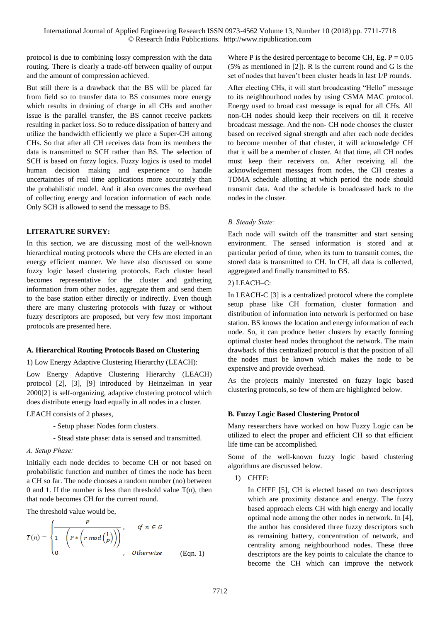protocol is due to combining lossy compression with the data routing. There is clearly a trade-off between quality of output and the amount of compression achieved.

But still there is a drawback that the BS will be placed far from field so to transfer data to BS consumes more energy which results in draining of charge in all CHs and another issue is the parallel transfer, the BS cannot receive packets resulting in packet loss. So to reduce dissipation of battery and utilize the bandwidth efficiently we place a Super-CH among CHs. So that after all CH receives data from its members the data is transmitted to SCH rather than BS. The selection of SCH is based on fuzzy logics. Fuzzy logics is used to model human decision making and experience to handle uncertainties of real time applications more accurately than the probabilistic model. And it also overcomes the overhead of collecting energy and location information of each node. Only SCH is allowed to send the message to BS.

# **LITERATURE SURVEY:**

In this section, we are discussing most of the well-known hierarchical routing protocols where the CHs are elected in an energy efficient manner. We have also discussed on some fuzzy logic based clustering protocols. Each cluster head becomes representative for the cluster and gathering information from other nodes, aggregate them and send them to the base station either directly or indirectly. Even though there are many clustering protocols with fuzzy or without fuzzy descriptors are proposed, but very few most important protocols are presented here.

# **A. Hierarchical Routing Protocols Based on Clustering**

# 1) Low Energy Adaptive Clustering Hierarchy (LEACH):

Low Energy Adaptive Clustering Hierarchy (LEACH) protocol [2], [3], [9] introduced by Heinzelman in year 2000[2] is self-organizing, adaptive clustering protocol which does distribute energy load equally in all nodes in a cluster.

LEACH consists of 2 phases,

- Setup phase: Nodes form clusters.
- Stead state phase: data is sensed and transmitted.

# *A. Setup Phase:*

Initially each node decides to become CH or not based on probabilistic function and number of times the node has been a CH so far. The node chooses a random number (no) between 0 and 1. If the number is less than threshold value T(n), then that node becomes CH for the current round.

The threshold value would be,

$$
T(n) = \begin{cases} \frac{P}{1 - \left(P * \left(r \mod\left(\frac{1}{P}\right)\right)\right)}, & \text{if } n \in G \\ 0, & \text{otherwise} \end{cases}
$$
 (Eqn. 1)

Where P is the desired percentage to become CH, Eg.  $P = 0.05$ (5% as mentioned in [2]). R is the current round and G is the set of nodes that haven't been cluster heads in last 1/P rounds.

After electing CHs, it will start broadcasting "Hello" message to its neighbourhood nodes by using CSMA MAC protocol. Energy used to broad cast message is equal for all CHs. All non-CH nodes should keep their receivers on till it receive broadcast message. And the non- CH node chooses the cluster based on received signal strength and after each node decides to become member of that cluster, it will acknowledge CH that it will be a member of cluster. At that time, all CH nodes must keep their receivers on. After receiving all the acknowledgement messages from nodes, the CH creates a TDMA schedule allotting at which period the node should transmit data. And the schedule is broadcasted back to the nodes in the cluster.

# *B. Steady State:*

Each node will switch off the transmitter and start sensing environment. The sensed information is stored and at particular period of time, when its turn to transmit comes, the stored data is transmitted to CH. In CH, all data is collected, aggregated and finally transmitted to BS.

# 2) LEACH–C:

In LEACH-C [3] is a centralized protocol where the complete setup phase like CH formation, cluster formation and distribution of information into network is performed on base station. BS knows the location and energy information of each node. So, it can produce better clusters by exactly forming optimal cluster head nodes throughout the network. The main drawback of this centralized protocol is that the position of all the nodes must be known which makes the node to be expensive and provide overhead.

As the projects mainly interested on fuzzy logic based clustering protocols, so few of them are highlighted below.

# **B. Fuzzy Logic Based Clustering Protocol**

Many researchers have worked on how Fuzzy Logic can be utilized to elect the proper and efficient CH so that efficient life time can be accomplished.

Some of the well-known fuzzy logic based clustering algorithms are discussed below.

1) CHEF:

In CHEF [5], CH is elected based on two descriptors which are proximity distance and energy. The fuzzy based approach elects CH with high energy and locally optimal node among the other nodes in network. In [4], the author has considered three fuzzy descriptors such as remaining battery, concentration of network, and centrality among neighbourhood nodes. These three descriptors are the key points to calculate the chance to become the CH which can improve the network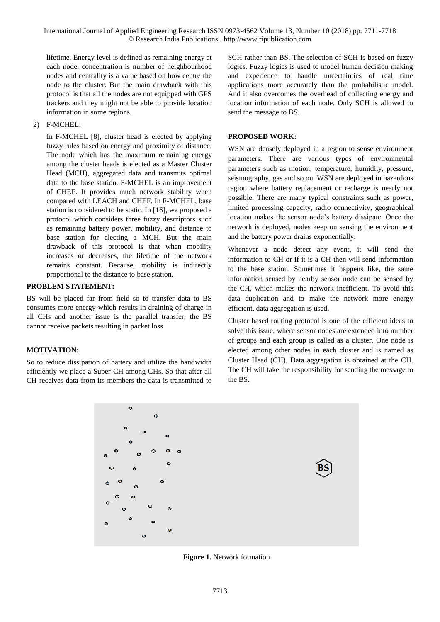International Journal of Applied Engineering Research ISSN 0973-4562 Volume 13, Number 10 (2018) pp. 7711-7718 © Research India Publications. http://www.ripublication.com

lifetime. Energy level is defined as remaining energy at each node, concentration is number of neighbourhood nodes and centrality is a value based on how centre the node to the cluster. But the main drawback with this protocol is that all the nodes are not equipped with GPS trackers and they might not be able to provide location information in some regions.

2) F-MCHEL:

In F-MCHEL [8], cluster head is elected by applying fuzzy rules based on energy and proximity of distance. The node which has the maximum remaining energy among the cluster heads is elected as a Master Cluster Head (MCH), aggregated data and transmits optimal data to the base station. F-MCHEL is an improvement of CHEF. It provides much network stability when compared with LEACH and CHEF. In F-MCHEL, base station is considered to be static. In [16], we proposed a protocol which considers three fuzzy descriptors such as remaining battery power, mobility, and distance to base station for electing a MCH. But the main drawback of this protocol is that when mobility increases or decreases, the lifetime of the network remains constant. Because, mobility is indirectly proportional to the distance to base station.

## **PROBLEM STATEMENT:**

BS will be placed far from field so to transfer data to BS consumes more energy which results in draining of charge in all CHs and another issue is the parallel transfer, the BS cannot receive packets resulting in packet loss

# **MOTIVATION:**

So to reduce dissipation of battery and utilize the bandwidth efficiently we place a Super-CH among CHs. So that after all CH receives data from its members the data is transmitted to SCH rather than BS. The selection of SCH is based on fuzzy logics. Fuzzy logics is used to model human decision making and experience to handle uncertainties of real time applications more accurately than the probabilistic model. And it also overcomes the overhead of collecting energy and location information of each node. Only SCH is allowed to send the message to BS.

## **PROPOSED WORK:**

WSN are densely deployed in a region to sense environment parameters. There are various types of environmental parameters such as motion, temperature, humidity, pressure, seismography, gas and so on. WSN are deployed in hazardous region where battery replacement or recharge is nearly not possible. There are many typical constraints such as power, limited processing capacity, radio connectivity, geographical location makes the sensor node's battery dissipate. Once the network is deployed, nodes keep on sensing the environment and the battery power drains exponentially.

Whenever a node detect any event, it will send the information to CH or if it is a CH then will send information to the base station. Sometimes it happens like, the same information sensed by nearby sensor node can be sensed by the CH, which makes the network inefficient. To avoid this data duplication and to make the network more energy efficient, data aggregation is used.

Cluster based routing protocol is one of the efficient ideas to solve this issue, where sensor nodes are extended into number of groups and each group is called as a cluster. One node is elected among other nodes in each cluster and is named as Cluster Head (CH). Data aggregation is obtained at the CH. The CH will take the responsibility for sending the message to the BS.



**Figure 1.** Network formation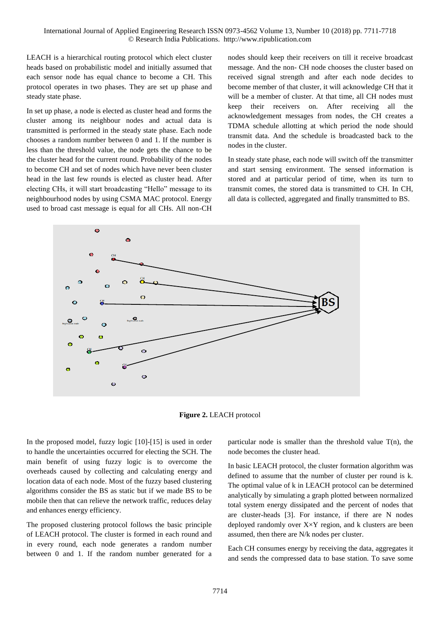LEACH is a hierarchical routing protocol which elect cluster heads based on probabilistic model and initially assumed that each sensor node has equal chance to become a CH. This protocol operates in two phases. They are set up phase and steady state phase.

In set up phase, a node is elected as cluster head and forms the cluster among its neighbour nodes and actual data is transmitted is performed in the steady state phase. Each node chooses a random number between 0 and 1. If the number is less than the threshold value, the node gets the chance to be the cluster head for the current round. Probability of the nodes to become CH and set of nodes which have never been cluster head in the last few rounds is elected as cluster head. After electing CHs, it will start broadcasting "Hello" message to its neighbourhood nodes by using CSMA MAC protocol. Energy used to broad cast message is equal for all CHs. All non-CH

nodes should keep their receivers on till it receive broadcast message. And the non- CH node chooses the cluster based on received signal strength and after each node decides to become member of that cluster, it will acknowledge CH that it will be a member of cluster. At that time, all CH nodes must keep their receivers on. After receiving all the acknowledgement messages from nodes, the CH creates a TDMA schedule allotting at which period the node should transmit data. And the schedule is broadcasted back to the nodes in the cluster.

In steady state phase, each node will switch off the transmitter and start sensing environment. The sensed information is stored and at particular period of time, when its turn to transmit comes, the stored data is transmitted to CH. In CH, all data is collected, aggregated and finally transmitted to BS.



**Figure 2.** LEACH protocol

In the proposed model, fuzzy logic [10]-[15] is used in order to handle the uncertainties occurred for electing the SCH. The main benefit of using fuzzy logic is to overcome the overheads caused by collecting and calculating energy and location data of each node. Most of the fuzzy based clustering algorithms consider the BS as static but if we made BS to be mobile then that can relieve the network traffic, reduces delay and enhances energy efficiency.

The proposed clustering protocol follows the basic principle of LEACH protocol. The cluster is formed in each round and in every round, each node generates a random number between 0 and 1. If the random number generated for a particular node is smaller than the threshold value  $T(n)$ , the node becomes the cluster head.

In basic LEACH protocol, the cluster formation algorithm was defined to assume that the number of cluster per round is k. The optimal value of k in LEACH protocol can be determined analytically by simulating a graph plotted between normalized total system energy dissipated and the percent of nodes that are cluster-heads [3]. For instance, if there are N nodes deployed randomly over  $X \times Y$  region, and k clusters are been assumed, then there are N/k nodes per cluster.

Each CH consumes energy by receiving the data, aggregates it and sends the compressed data to base station. To save some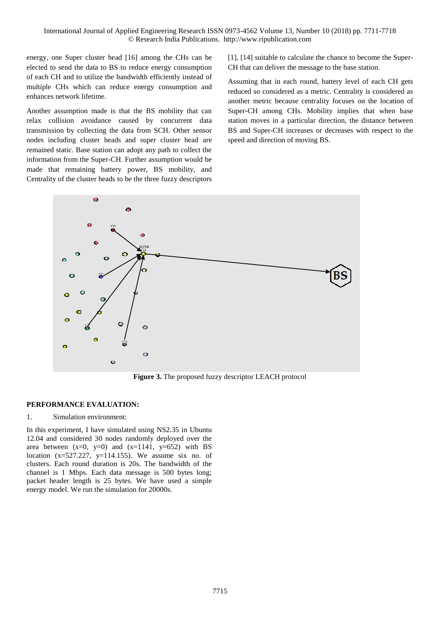energy, one Super cluster head [16] among the CHs can be elected to send the data to BS to reduce energy consumption of each CH and to utilize the bandwidth efficiently instead of multiple CHs which can reduce energy consumption and enhances network lifetime.

Another assumption made is that the BS mobility that can relax collision avoidance caused by concurrent data transmission by collecting the data from SCH. Other sensor nodes including cluster heads and super cluster head are remained static. Base station can adopt any path to collect the information from the Super-CH. Further assumption would be made that remaining battery power, BS mobility, and Centrality of the cluster heads to be the three fuzzy descriptors [1], [14] suitable to calculate the chance to become the Super-CH that can deliver the message to the base station.

Assuming that in each round, battery level of each CH gets reduced so considered as a metric. Centrality is considered as another metric because centrality focuses on the location of Super-CH among CHs. Mobility implies that when base station moves in a particular direction, the distance between BS and Super-CH increases or decreases with respect to the speed and direction of moving BS.



**Figure 3.** The proposed fuzzy descriptor LEACH protocol

## **PERFORMANCE EVALUATION:**

## 1. Simulation environment:

In this experiment, I have simulated using NS2.35 in Ubuntu 12.04 and considered 30 nodes randomly deployed over the area between  $(x=0, y=0)$  and  $(x=1141, y=652)$  with BS location  $(x=527.227, y=114.155)$ . We assume six no. of clusters. Each round duration is 20s. The bandwidth of the channel is 1 Mbps. Each data message is 500 bytes long; packet header length is 25 bytes. We have used a simple energy model. We run the simulation for 20000s.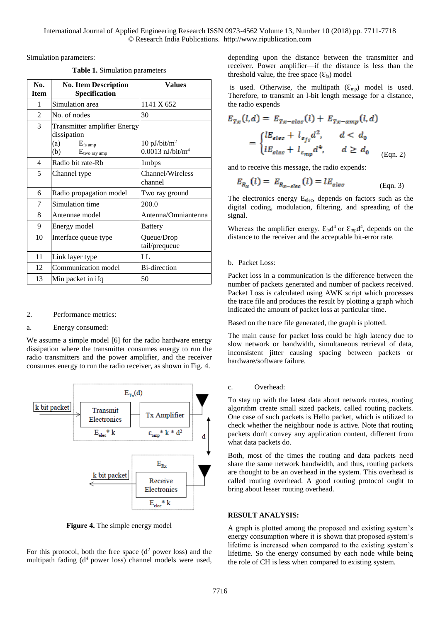Simulation parameters:

**Table 1.** Simulation parameters

| No.<br><b>Item</b>       | <b>No. Item Description</b><br>Specification                                                         | Values                                                       |
|--------------------------|------------------------------------------------------------------------------------------------------|--------------------------------------------------------------|
| 1                        | Simulation area                                                                                      | 1141 X 652                                                   |
| $\mathfrak{D}$           | No. of nodes                                                                                         | 30                                                           |
| 3                        | <b>Transmitter amplifier Energy</b><br>dissipation<br>(a)<br>$E_{fs\ amp}$<br>(b)<br>$E$ two ray amp | $10$ pJ/bit/m <sup>2</sup><br>$0.0013$ nJ/bit/m <sup>4</sup> |
| $\overline{\mathcal{A}}$ | Radio bit rate-Rb                                                                                    | 1mbps                                                        |
| 5                        | Channel type                                                                                         | Channel/Wireless<br>channel                                  |
| 6                        | Radio propagation model                                                                              | Two ray ground                                               |
| 7                        | Simulation time                                                                                      | 200.0                                                        |
| 8                        | Antennae model                                                                                       | Antenna/Omniantenna                                          |
| 9                        | Energy model                                                                                         | <b>Battery</b>                                               |
| 10                       | Interface queue type                                                                                 | Queue/Drop<br>tail/prequeue                                  |
| 11                       | Link layer type                                                                                      | LL                                                           |
| 12                       | Communication model                                                                                  | <b>Bi-direction</b>                                          |
| 13                       | Min packet in ifq                                                                                    | 50                                                           |

#### 2. Performance metrics:

## a. Energy consumed:

We assume a simple model [6] for the radio hardware energy dissipation where the transmitter consumes energy to run the radio transmitters and the power amplifier, and the receiver consumes energy to run the radio receiver, as shown in Fig. 4.



**Figure 4.** The simple energy model

For this protocol, both the free space  $(d<sup>2</sup>)$  power loss) and the multipath fading  $(d<sup>4</sup>$  power loss) channel models were used,

depending upon the distance between the transmitter and receiver. Power amplifier—if the distance is less than the threshold value, the free space  $(\mathcal{E}_{fs})$  model

is used. Otherwise, the multipath  $(\mathcal{E}_{mp})$  model is used. Therefore, to transmit an l-bit length message for a distance, the radio expends

$$
E_{Tx}(l,d) = E_{Tx-\text{elec}}(l) + E_{Tx-\text{amp}}(l,d)
$$
  
= 
$$
\begin{cases} lE_{\text{elec}} + l_{\varepsilon_{fs}}d^2, & d < d_0 \\ lE_{\text{elec}} + l_{\varepsilon_{mp}}d^4, & d \ge d_0 \\ \end{cases}
$$
 (Eqn. 2)

and to receive this message, the radio expends:

$$
E_{R_X}(l) = E_{R_{X-\text{elec}}}(l) = lE_{\text{elec}}
$$
\n(Eqn. 3)

The electronics energy E<sub>elec</sub>, depends on factors such as the digital coding, modulation, filtering, and spreading of the signal.

Whereas the amplifier energy,  $\mathcal{E}_{fs}d^4$  or  $\mathcal{E}_{mp}d^4$ , depends on the distance to the receiver and the acceptable bit-error rate.

## b. Packet Loss:

Packet loss in a communication is the difference between the number of packets generated and number of packets received. Packet Loss is calculated using AWK script which processes the trace file and produces the result by plotting a graph which indicated the amount of packet loss at particular time.

Based on the trace file generated, the graph is plotted.

The main cause for packet loss could be high latency due to slow network or bandwidth, simultaneous retrieval of data, inconsistent jitter causing spacing between packets or hardware/software failure.

#### c. Overhead:

To stay up with the latest data about network routes, routing algorithm create small sized packets, called routing packets. One case of such packets is Hello packet, which is utilized to check whether the neighbour node is active. Note that routing packets don't convey any application content, different from what data packets do.

Both, most of the times the routing and data packets need share the same network bandwidth, and thus, routing packets are thought to be an overhead in the system. This overhead is called routing overhead. A good routing protocol ought to bring about lesser routing overhead.

#### **RESULT ANALYSIS:**

A graph is plotted among the proposed and existing system's energy consumption where it is shown that proposed system's lifetime is increased when compared to the existing system's lifetime. So the energy consumed by each node while being the role of CH is less when compared to existing system.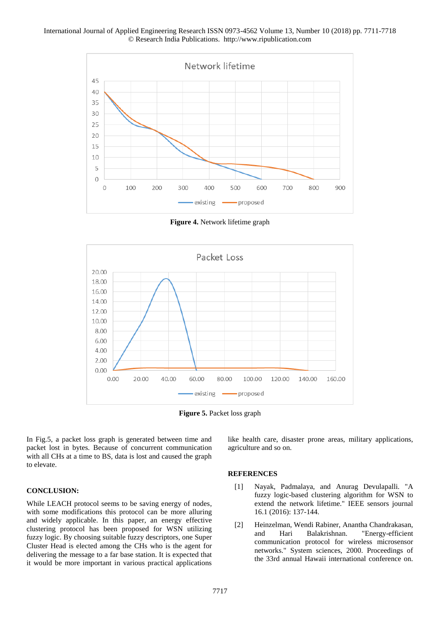#### International Journal of Applied Engineering Research ISSN 0973-4562 Volume 13, Number 10 (2018) pp. 7711-7718 © Research India Publications. http://www.ripublication.com



**Figure 4.** Network lifetime graph



**Figure 5.** Packet loss graph

In Fig.5, a packet loss graph is generated between time and packet lost in bytes. Because of concurrent communication with all CHs at a time to BS, data is lost and caused the graph to elevate.

like health care, disaster prone areas, military applications, agriculture and so on.

#### **REFERENCES**

- [1] Nayak, Padmalaya, and Anurag Devulapalli. "A fuzzy logic-based clustering algorithm for WSN to extend the network lifetime." IEEE sensors journal 16.1 (2016): 137-144.
- [2] Heinzelman, Wendi Rabiner, Anantha Chandrakasan, and Hari Balakrishnan. "Energy-efficient communication protocol for wireless microsensor networks." System sciences, 2000. Proceedings of the 33rd annual Hawaii international conference on.

#### **CONCLUSION:**

While LEACH protocol seems to be saving energy of nodes, with some modifications this protocol can be more alluring and widely applicable. In this paper, an energy effective clustering protocol has been proposed for WSN utilizing fuzzy logic. By choosing suitable fuzzy descriptors, one Super Cluster Head is elected among the CHs who is the agent for delivering the message to a far base station. It is expected that it would be more important in various practical applications